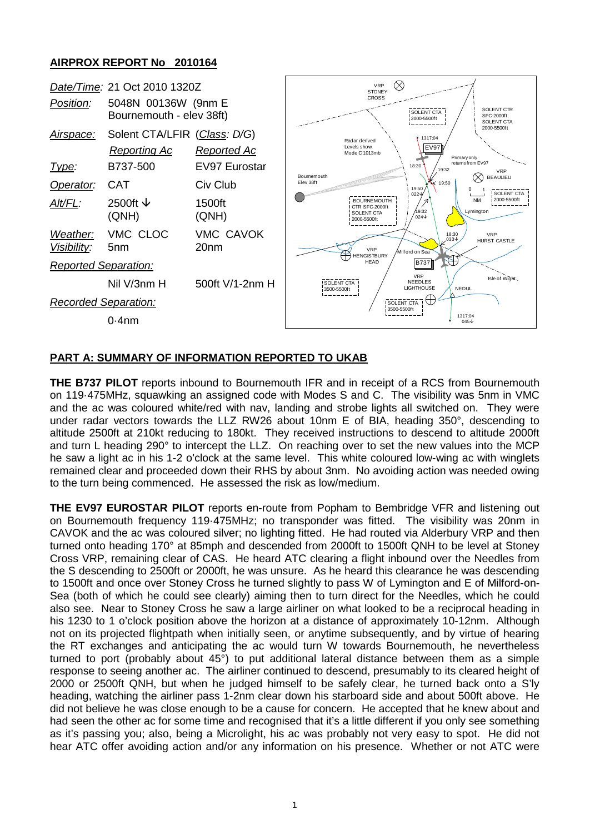## **AIRPROX REPORT No 2010164**



## **PART A: SUMMARY OF INFORMATION REPORTED TO UKAB**

**THE B737 PILOT** reports inbound to Bournemouth IFR and in receipt of a RCS from Bournemouth on 119·475MHz, squawking an assigned code with Modes S and C. The visibility was 5nm in VMC and the ac was coloured white/red with nav, landing and strobe lights all switched on. They were under radar vectors towards the LLZ RW26 about 10nm E of BIA, heading 350°, descending to altitude 2500ft at 210kt reducing to 180kt. They received instructions to descend to altitude 2000ft and turn L heading 290° to intercept the LLZ. On reaching over to set the new values into the MCP he saw a light ac in his 1-2 o'clock at the same level. This white coloured low-wing ac with winglets remained clear and proceeded down their RHS by about 3nm. No avoiding action was needed owing to the turn being commenced. He assessed the risk as low/medium.

**THE EV97 EUROSTAR PILOT** reports en-route from Popham to Bembridge VFR and listening out on Bournemouth frequency 119·475MHz; no transponder was fitted. The visibility was 20nm in CAVOK and the ac was coloured silver; no lighting fitted. He had routed via Alderbury VRP and then turned onto heading 170° at 85mph and descended from 2000ft to 1500ft QNH to be level at Stoney Cross VRP, remaining clear of CAS. He heard ATC clearing a flight inbound over the Needles from the S descending to 2500ft or 2000ft, he was unsure. As he heard this clearance he was descending to 1500ft and once over Stoney Cross he turned slightly to pass W of Lymington and E of Milford-on-Sea (both of which he could see clearly) aiming then to turn direct for the Needles, which he could also see. Near to Stoney Cross he saw a large airliner on what looked to be a reciprocal heading in his 1230 to 1 o'clock position above the horizon at a distance of approximately 10-12nm. Although not on its projected flightpath when initially seen, or anytime subsequently, and by virtue of hearing the RT exchanges and anticipating the ac would turn W towards Bournemouth, he nevertheless turned to port (probably about 45°) to put additional lateral distance between them as a simple response to seeing another ac. The airliner continued to descend, presumably to its cleared height of 2000 or 2500ft QNH, but when he judged himself to be safely clear, he turned back onto a S'ly heading, watching the airliner pass 1-2nm clear down his starboard side and about 500ft above. He did not believe he was close enough to be a cause for concern. He accepted that he knew about and had seen the other ac for some time and recognised that it's a little different if you only see something as it's passing you; also, being a Microlight, his ac was probably not very easy to spot. He did not hear ATC offer avoiding action and/or any information on his presence. Whether or not ATC were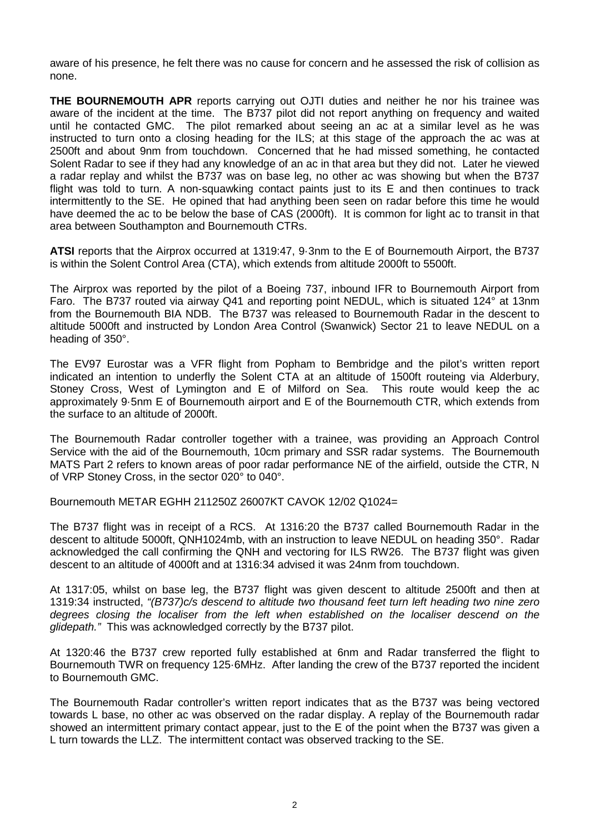aware of his presence, he felt there was no cause for concern and he assessed the risk of collision as none.

**THE BOURNEMOUTH APR** reports carrying out OJTI duties and neither he nor his trainee was aware of the incident at the time. The B737 pilot did not report anything on frequency and waited until he contacted GMC. The pilot remarked about seeing an ac at a similar level as he was instructed to turn onto a closing heading for the ILS; at this stage of the approach the ac was at 2500ft and about 9nm from touchdown. Concerned that he had missed something, he contacted Solent Radar to see if they had any knowledge of an ac in that area but they did not. Later he viewed a radar replay and whilst the B737 was on base leg, no other ac was showing but when the B737 flight was told to turn. A non-squawking contact paints just to its E and then continues to track intermittently to the SE. He opined that had anything been seen on radar before this time he would have deemed the ac to be below the base of CAS (2000ft). It is common for light ac to transit in that area between Southampton and Bournemouth CTRs.

**ATSI** reports that the Airprox occurred at 1319:47, 9·3nm to the E of Bournemouth Airport, the B737 is within the Solent Control Area (CTA), which extends from altitude 2000ft to 5500ft.

The Airprox was reported by the pilot of a Boeing 737, inbound IFR to Bournemouth Airport from Faro. The B737 routed via airway Q41 and reporting point NEDUL, which is situated 124° at 13nm from the Bournemouth BIA NDB. The B737 was released to Bournemouth Radar in the descent to altitude 5000ft and instructed by London Area Control (Swanwick) Sector 21 to leave NEDUL on a heading of 350°.

The EV97 Eurostar was a VFR flight from Popham to Bembridge and the pilot's written report indicated an intention to underfly the Solent CTA at an altitude of 1500ft routeing via Alderbury, Stoney Cross, West of Lymington and E of Milford on Sea. This route would keep the ac approximately 9·5nm E of Bournemouth airport and E of the Bournemouth CTR, which extends from the surface to an altitude of 2000ft.

The Bournemouth Radar controller together with a trainee, was providing an Approach Control Service with the aid of the Bournemouth, 10cm primary and SSR radar systems. The Bournemouth MATS Part 2 refers to known areas of poor radar performance NE of the airfield, outside the CTR, N of VRP Stoney Cross, in the sector 020° to 040°.

Bournemouth METAR EGHH 211250Z 26007KT CAVOK 12/02 Q1024=

The B737 flight was in receipt of a RCS. At 1316:20 the B737 called Bournemouth Radar in the descent to altitude 5000ft, QNH1024mb, with an instruction to leave NEDUL on heading 350°. Radar acknowledged the call confirming the QNH and vectoring for ILS RW26. The B737 flight was given descent to an altitude of 4000ft and at 1316:34 advised it was 24nm from touchdown.

At 1317:05, whilst on base leg, the B737 flight was given descent to altitude 2500ft and then at 1319:34 instructed, *"(B737)c/s descend to altitude two thousand feet turn left heading two nine zero degrees closing the localiser from the left when established on the localiser descend on the glidepath."* This was acknowledged correctly by the B737 pilot.

At 1320:46 the B737 crew reported fully established at 6nm and Radar transferred the flight to Bournemouth TWR on frequency 125·6MHz. After landing the crew of the B737 reported the incident to Bournemouth GMC.

The Bournemouth Radar controller's written report indicates that as the B737 was being vectored towards L base, no other ac was observed on the radar display. A replay of the Bournemouth radar showed an intermittent primary contact appear, just to the E of the point when the B737 was given a L turn towards the LLZ. The intermittent contact was observed tracking to the SE.